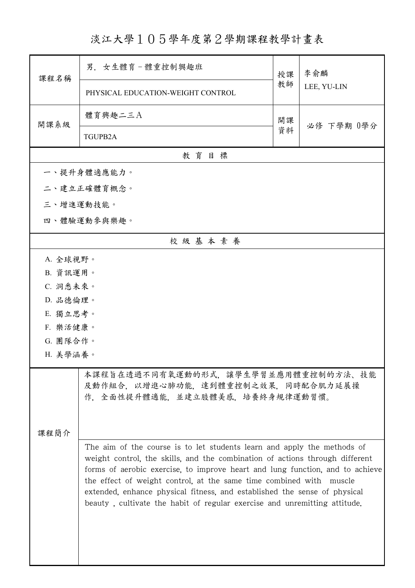淡江大學105學年度第2學期課程教學計畫表

| 課程名稱                                                                                                                                                                                                                                                                                                                                                                                                                                                                      | 男. 女生體育-體重控制興趣班                                                                                               | 授課 | 李俞麟<br>LEE, YU-LIN |
|---------------------------------------------------------------------------------------------------------------------------------------------------------------------------------------------------------------------------------------------------------------------------------------------------------------------------------------------------------------------------------------------------------------------------------------------------------------------------|---------------------------------------------------------------------------------------------------------------|----|--------------------|
|                                                                                                                                                                                                                                                                                                                                                                                                                                                                           | PHYSICAL EDUCATION-WEIGHT CONTROL                                                                             | 教師 |                    |
| 開課系級                                                                                                                                                                                                                                                                                                                                                                                                                                                                      | 體育興趣二三A                                                                                                       | 開課 | 必修 下學期 0學分         |
|                                                                                                                                                                                                                                                                                                                                                                                                                                                                           | TGUPB2A                                                                                                       | 資料 |                    |
|                                                                                                                                                                                                                                                                                                                                                                                                                                                                           | 教育目標                                                                                                          |    |                    |
|                                                                                                                                                                                                                                                                                                                                                                                                                                                                           | 一、提升身體適應能力。                                                                                                   |    |                    |
|                                                                                                                                                                                                                                                                                                                                                                                                                                                                           | 二、建立正確體育概念。                                                                                                   |    |                    |
| 三、增進運動技能。                                                                                                                                                                                                                                                                                                                                                                                                                                                                 |                                                                                                               |    |                    |
|                                                                                                                                                                                                                                                                                                                                                                                                                                                                           | 四、體驗運動參與樂趣。                                                                                                   |    |                    |
|                                                                                                                                                                                                                                                                                                                                                                                                                                                                           | 校級基本素養                                                                                                        |    |                    |
| A. 全球視野。                                                                                                                                                                                                                                                                                                                                                                                                                                                                  |                                                                                                               |    |                    |
| B. 資訊運用。                                                                                                                                                                                                                                                                                                                                                                                                                                                                  |                                                                                                               |    |                    |
| C. 洞悉未來。                                                                                                                                                                                                                                                                                                                                                                                                                                                                  |                                                                                                               |    |                    |
| D. 品德倫理。                                                                                                                                                                                                                                                                                                                                                                                                                                                                  |                                                                                                               |    |                    |
| E. 獨立思考。                                                                                                                                                                                                                                                                                                                                                                                                                                                                  |                                                                                                               |    |                    |
|                                                                                                                                                                                                                                                                                                                                                                                                                                                                           | F. 樂活健康。                                                                                                      |    |                    |
|                                                                                                                                                                                                                                                                                                                                                                                                                                                                           | G. 團隊合作。                                                                                                      |    |                    |
| H. 美學涵養。                                                                                                                                                                                                                                                                                                                                                                                                                                                                  |                                                                                                               |    |                    |
|                                                                                                                                                                                                                                                                                                                                                                                                                                                                           | 本課程旨在透過不同有氧運動的形式,讓學生學習並應用體重控制的方法、技能<br>及動作組合, 以增進心肺功能, 達到體重控制之效果, 同時配合肌力延展操<br>作,全面性提升體適能,並建立肢體美感,培養終身規律運動習慣。 |    |                    |
| 课程简介                                                                                                                                                                                                                                                                                                                                                                                                                                                                      |                                                                                                               |    |                    |
| The aim of the course is to let students learn and apply the methods of<br>weight control, the skills, and the combination of actions through different<br>forms of aerobic exercise, to improve heart and lung function, and to achieve<br>the effect of weight control, at the same time combined with muscle<br>extended, enhance physical fitness, and established the sense of physical<br>beauty, cultivate the habit of regular exercise and unremitting attitude. |                                                                                                               |    |                    |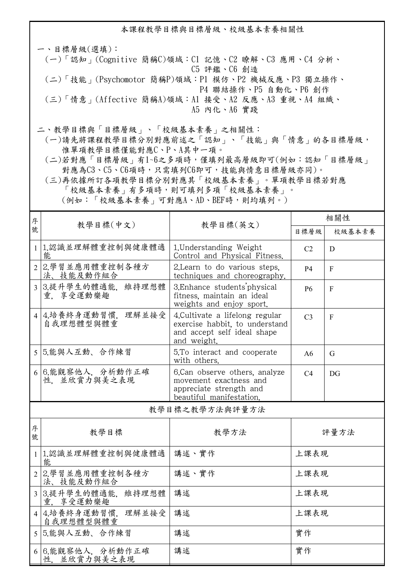本課程教學目標與目標層級、校級基本素養相關性

一、目標層級(選填): (一)「認知」(Cognitive 簡稱C)領域:C1 記憶、C2 瞭解、C3 應用、C4 分析、 C5 評鑑、C6 創造 (二)「技能」(Psychomotor 簡稱P)領域:P1 模仿、P2 機械反應、P3 獨立操作、 P4 聯結操作、P5 自動化、P6 創作 (三)「情意」(Affective 簡稱A)領域:A1 接受、A2 反應、A3 重視、A4 組織、 A5 內化、A6 實踐 二、教學目標與「目標層級」、「校級基本素養」之相關性:

 (一)請先將課程教學目標分別對應前述之「認知」、「技能」與「情意」的各目標層級, 惟單項教學目標僅能對應C、P、A其中一項。

 (二)若對應「目標層級」有1~6之多項時,僅填列最高層級即可(例如:認知「目標層級」 對應為C3、C5、C6項時,只需填列C6即可,技能與情意目標層級亦同)。

 (三)再依據所訂各項教學目標分別對應其「校級基本素養」。單項教學目標若對應 「校級基本素養」有多項時,則可填列多項「校級基本素養」。

|  | (例如:「校級基本素養」可對應A、AD、BEF時,則均填列。) |  |  |
|--|---------------------------------|--|--|
|--|---------------------------------|--|--|

| 序      |                                     |                                                                                                                 | 相關性            |                |
|--------|-------------------------------------|-----------------------------------------------------------------------------------------------------------------|----------------|----------------|
| 號      | 教學目標(中文)                            | 教學目標(英文)                                                                                                        | 目標層級           | 校級基本素養         |
|        | 1 1.認識並理解體重控制與健康體適<br>能             | 1. Understanding Weight<br>Control and Physical Fitness.                                                        | C <sub>2</sub> | D              |
|        | 2 2.學習並應用體重控制各種方<br>法、技能及動作組合       | 2. Learn to do various steps.<br>techniques and choreography.                                                   | <b>P4</b>      | F              |
|        | 3 3.提升學生的體適能.<br>維持理想體<br>重. 享受運動樂趣 | 3. Enhance students physical<br>fitness, maintain an ideal<br>weights and enjoy sport.                          | <b>P6</b>      | $\overline{F}$ |
|        | 4 4.培養終身運動習慣,<br>理解並接受<br>自我理想體型與體重 | 4. Cultivate a lifelong regular<br>exercise habbit, to understand<br>and accept self ideal shape<br>and weight. | C <sub>3</sub> | $\mathbf{F}$   |
| 5      | 5.能與人互動、合作練習                        | 5.To interact and cooperate<br>with others.                                                                     | A6             | G              |
|        | 6 6.能觀察他人, 分析動作正確<br>性,並欣賞力與美之表現    | 6.Can observe others, analyze<br>movement exactness and<br>appreciate strength and<br>beautiful manifestation.  | C4             | DG             |
|        |                                     | 教學目標之教學方法與評量方法                                                                                                  |                |                |
| 序<br>號 | 教學目標                                | 教學方法                                                                                                            |                | 評量方法           |
|        | 1 1.認識並理解體重控制與健康體適<br>能             | 講述、實作                                                                                                           | 上課表現           |                |
|        | 2 2.學習並應用體重控制各種方<br>法、技能及動作組合       | 講述、實作                                                                                                           | 上課表現           |                |
|        | 3 3.提升學生的體適能.<br>維持理想體<br>重. 享受運動樂趣 | 講述                                                                                                              | 上課表現           |                |
|        | 4 4.培養終身運動習慣.<br>理解並接受<br>自我理想體型與體重 | 講述                                                                                                              | 上課表現           |                |
|        | 5 5.能與人互動、合作練習                      | 講述                                                                                                              | 實作             |                |

講述 有效 医心理学 计算作

 6 6.能觀察他人,分析動作正確 性,並欣賞力與美之表現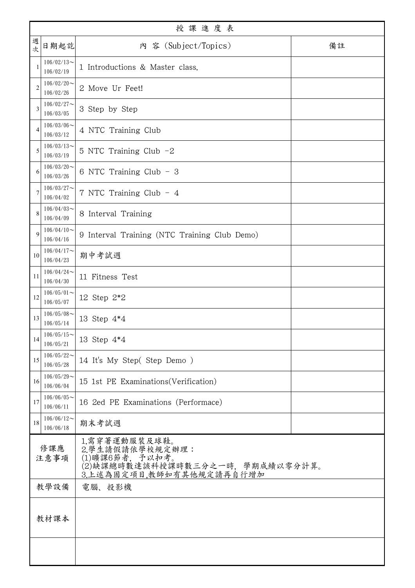|                | 授課進度表                         |                                                                                                                    |    |  |
|----------------|-------------------------------|--------------------------------------------------------------------------------------------------------------------|----|--|
| 週<br>次         | 日期起訖                          | 内 容 (Subject/Topics)                                                                                               | 備註 |  |
|                | $106/02/13$ ~<br>106/02/19    | 1 Introductions & Master class.                                                                                    |    |  |
| $\overline{c}$ | $106/02/20$ ~<br>106/02/26    | 2 Move Ur Feet!                                                                                                    |    |  |
| 3              | $106/02/27$ ~<br>106/03/05    | 3 Step by Step                                                                                                     |    |  |
| 4              | $106/03/06 \sim$<br>106/03/12 | 4 NTC Training Club                                                                                                |    |  |
| 5              | $106/03/13$ ~<br>106/03/19    | 5 NTC Training Club -2                                                                                             |    |  |
| 6              | $106/03/20$ ~<br>106/03/26    | 6 NTC Training Club - 3                                                                                            |    |  |
| 7              | $106/03/27$ ~<br>106/04/02    | 7 NTC Training Club - 4                                                                                            |    |  |
| 8              | $106/04/03$ ~<br>106/04/09    | 8 Interval Training                                                                                                |    |  |
| 9              | $106/04/10$ ~<br>106/04/16    | 9 Interval Training (NTC Training Club Demo)                                                                       |    |  |
| 10             | $106/04/17$ ~<br>106/04/23    | 期中考試週                                                                                                              |    |  |
| 11             | $106/04/24$ ~<br>106/04/30    | 11 Fitness Test                                                                                                    |    |  |
| 12             | $106/05/01$ ~<br>106/05/07    | 12 Step 2*2                                                                                                        |    |  |
| 13             | $106/05/08$ ~<br>106/05/14    | 13 Step 4*4                                                                                                        |    |  |
| 14             | $106/05/15$ ~<br>106/05/21    | 13 Step 4*4                                                                                                        |    |  |
| 15             | $106/05/22$ ~<br>106/05/28    | 14 It's My Step(Step Demo)                                                                                         |    |  |
| 16             | $106/05/29$ ~<br>106/06/04    | 15 1st PE Examinations (Verification)                                                                              |    |  |
| 17             | $106/06/05$ ~<br>106/06/11    | 16 2ed PE Examinations (Performace)                                                                                |    |  |
| 18             | $106/06/12$ ~<br>106/06/18    | 期末考試週                                                                                                              |    |  |
| 修課應<br>注意事項    |                               | 1.需穿著運動服裝及球鞋。<br>2.學生請假請依學校規定辦理:<br>(1)曠課6節者, 予以扣考。<br>(2)缺課總時數達該科授課時數三分之一時,學期成績以零分計算。<br>3.上述為固定項目,教師如有其他規定請再自行增加 |    |  |
| 教學設備           |                               | 電腦、投影機                                                                                                             |    |  |
| 教材課本           |                               |                                                                                                                    |    |  |
|                |                               |                                                                                                                    |    |  |